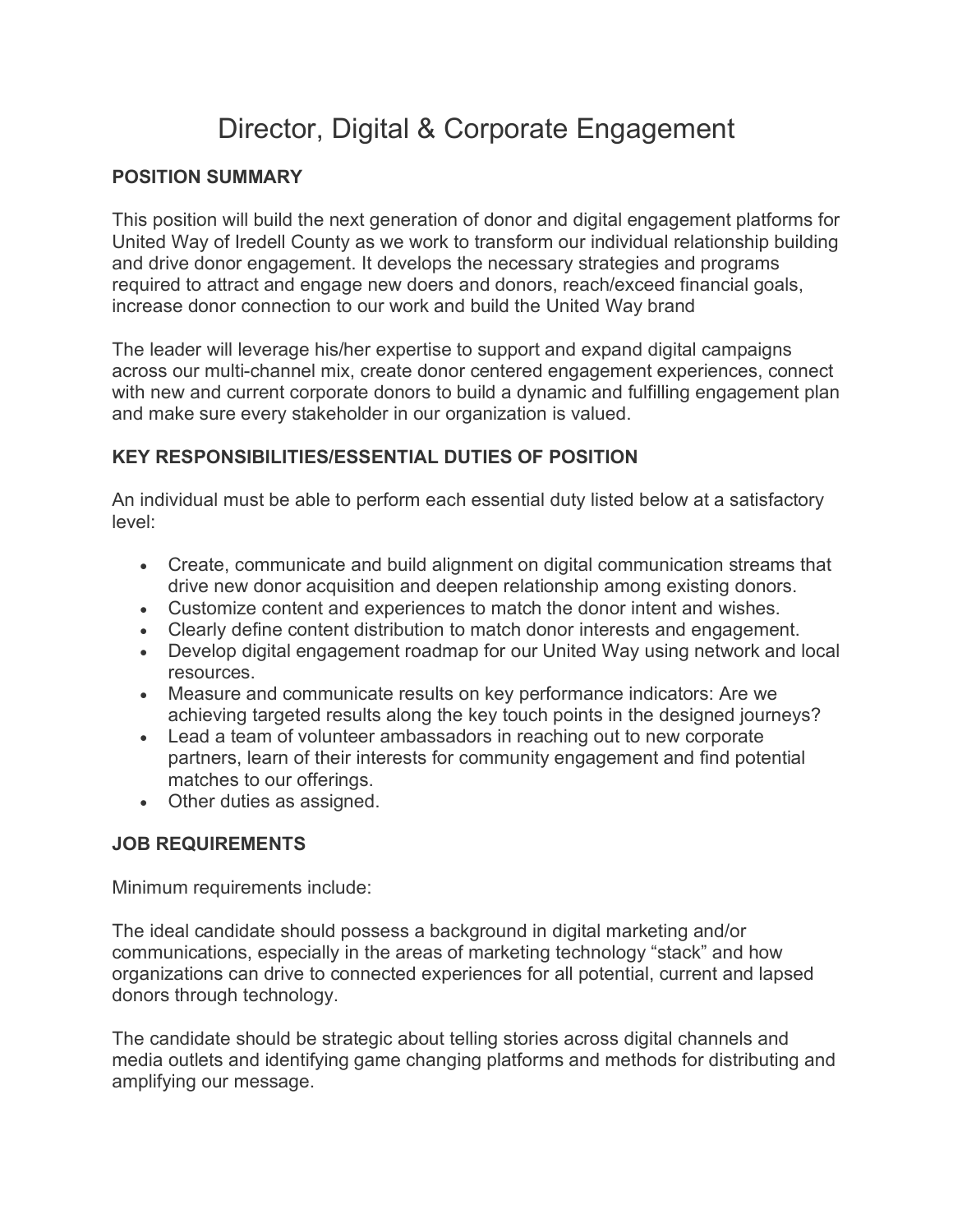## Director, Digital & Corporate Engagement

## **POSITION SUMMARY**

This position will build the next generation of donor and digital engagement platforms for United Way of Iredell County as we work to transform our individual relationship building and drive donor engagement. It develops the necessary strategies and programs required to attract and engage new doers and donors, reach/exceed financial goals, increase donor connection to our work and build the United Way brand

The leader will leverage his/her expertise to support and expand digital campaigns across our multi-channel mix, create donor centered engagement experiences, connect with new and current corporate donors to build a dynamic and fulfilling engagement plan and make sure every stakeholder in our organization is valued.

## **KEY RESPONSIBILITIES/ESSENTIAL DUTIES OF POSITION**

An individual must be able to perform each essential duty listed below at a satisfactory level:

- Create, communicate and build alignment on digital communication streams that drive new donor acquisition and deepen relationship among existing donors.
- Customize content and experiences to match the donor intent and wishes.
- Clearly define content distribution to match donor interests and engagement.
- Develop digital engagement roadmap for our United Way using network and local resources.
- Measure and communicate results on key performance indicators: Are we achieving targeted results along the key touch points in the designed journeys?
- Lead a team of volunteer ambassadors in reaching out to new corporate partners, learn of their interests for community engagement and find potential matches to our offerings.
- Other duties as assigned.

## **JOB REQUIREMENTS**

Minimum requirements include:

The ideal candidate should possess a background in digital marketing and/or communications, especially in the areas of marketing technology "stack" and how organizations can drive to connected experiences for all potential, current and lapsed donors through technology.

The candidate should be strategic about telling stories across digital channels and media outlets and identifying game changing platforms and methods for distributing and amplifying our message.